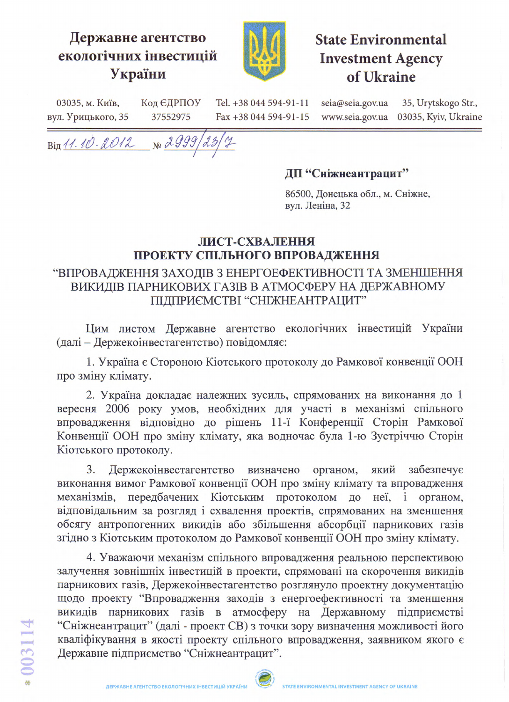## Державне агентство екологічних інвестицій України



# **State Environmental Investment Agency** of Ukraine

03035, м. Київ, Код ЄДРПОУ Tel. +38 044 594-91-11 seia@seia.gov.ua 35, Urytskogo Str., вул. Урицького, 35 37552975 Fax +38 044 594-91-15 www.seia.gov.ua 03035, Kyiv, Ukraine

Bin 11.10.2012 No 2999

#### ДП "Сніжнеантрацит"

86500, Донецька обл., м. Сніжне, вул. Леніна, 32

### ЛИСТ-СХВАЛЕННЯ ПРОЕКТУ СПІЛЬНОГО ВПРОВАДЖЕННЯ

## "ВПРОВАДЖЕННЯ ЗАХОДІВ З ЕНЕРГОЕФЕКТИВНОСТІ ТА ЗМЕНШЕННЯ ВИКИДІВ ПАРНИКОВИХ ГАЗІВ В АТМОСФЕРУ НА ДЕРЖАВНОМУ ПІДПРИЄМСТВІ "СНІЖНЕАНТРАЦИТ"

Цим листом Державне агентство екологічних інвестицій України (далі - Держекоінвестагентство) повідомляє:

1. Україна є Стороною Кіотського протоколу до Рамкової конвенції ООН про зміну клімату.

2. Україна докладає належних зусиль, спрямованих на виконання до 1 вересня 2006 року умов, необхідних для участі в механізмі спільного впровадження відповідно до рішень 11-ї Конференції Сторін Рамкової Конвенції ООН про зміну клімату, яка водночас була 1-ю Зустріччю Сторін Кіотського протоколу.

 $3.$ Держекоінвестагентство визначено органом, який забезпечує виконання вимог Рамкової конвенції ООН про зміну клімату та впровадження передбачених Кіотським протоколом до неї, і органом, механізмів, відповідальним за розгляд і схвалення проектів, спрямованих на зменшення обсягу антропогенних викидів або збільшення абсорбції парникових газів згідно з Кіотським протоколом до Рамкової конвенції ООН про зміну клімату.

4. Уважаючи механізм спільного впровадження реальною перспективою залучення зовнішніх інвестицій в проекти, спрямовані на скорочення викидів парникових газів, Держекоінвестагентство розглянуло проектну документацію щодо проекту "Впровадження заходів з енергоефективності та зменшення викидів парникових газів в атмосферу на Державному підприємстві "Сніжнеантрацит" (далі - проект СВ) з точки зору визначення можливості його кваліфікування в якості проекту спільного впровадження, заявником якого є Державне підприємство "Сніжнеантрацит".